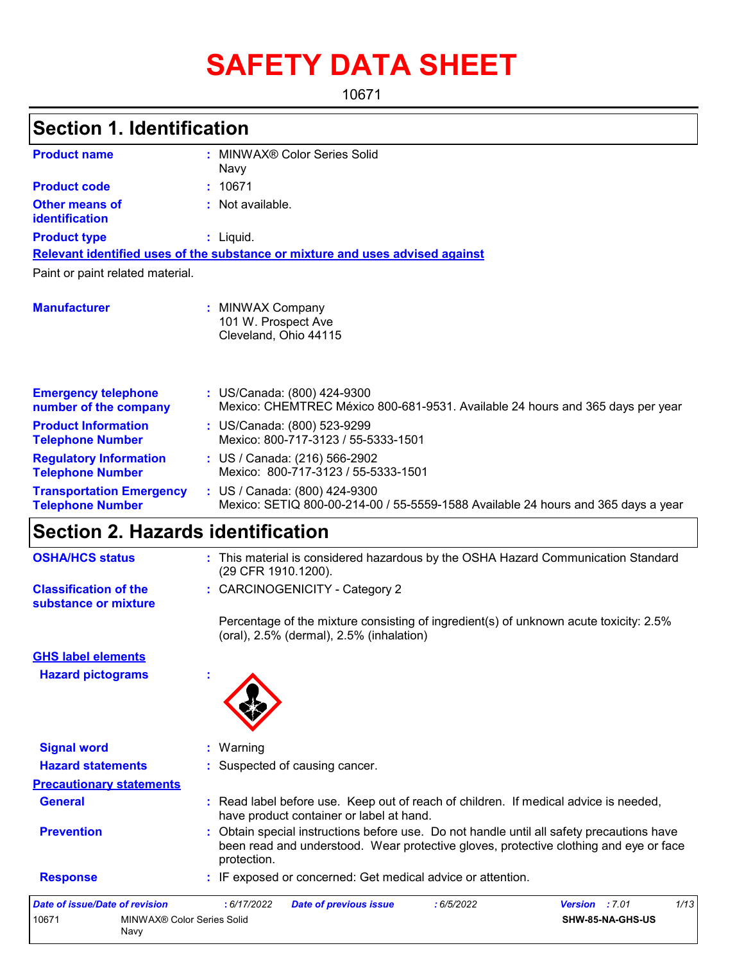# **SAFETY DATA SHEET**

10671

| <b>Section 1. Identification</b>                           |                                                                                                                                                                                                 |
|------------------------------------------------------------|-------------------------------------------------------------------------------------------------------------------------------------------------------------------------------------------------|
| <b>Product name</b>                                        | : MINWAX® Color Series Solid                                                                                                                                                                    |
| <b>Product code</b>                                        | Navy<br>10671                                                                                                                                                                                   |
| <b>Other means of</b><br>identification                    | : Not available.                                                                                                                                                                                |
| <b>Product type</b>                                        | : Liquid.                                                                                                                                                                                       |
|                                                            | Relevant identified uses of the substance or mixture and uses advised against                                                                                                                   |
| Paint or paint related material.                           |                                                                                                                                                                                                 |
| <b>Manufacturer</b>                                        | : MINWAX Company<br>101 W. Prospect Ave<br>Cleveland, Ohio 44115                                                                                                                                |
| <b>Emergency telephone</b><br>number of the company        | : US/Canada: (800) 424-9300<br>Mexico: CHEMTREC México 800-681-9531. Available 24 hours and 365 days per year                                                                                   |
| <b>Product Information</b><br><b>Telephone Number</b>      | : US/Canada: (800) 523-9299<br>Mexico: 800-717-3123 / 55-5333-1501                                                                                                                              |
| <b>Regulatory Information</b><br><b>Telephone Number</b>   | : US / Canada: (216) 566-2902<br>Mexico: 800-717-3123 / 55-5333-1501                                                                                                                            |
| <b>Transportation Emergency</b><br><b>Telephone Number</b> | : US / Canada: (800) 424-9300<br>Mexico: SETIQ 800-00-214-00 / 55-5559-1588 Available 24 hours and 365 days a year                                                                              |
| <b>Section 2. Hazards identification</b>                   |                                                                                                                                                                                                 |
| <b>OSHA/HCS status</b>                                     | : This material is considered hazardous by the OSHA Hazard Communication Standard<br>(29 CFR 1910.1200).                                                                                        |
| <b>Classification of the</b><br>substance or mixture       | : CARCINOGENICITY - Category 2                                                                                                                                                                  |
|                                                            | Percentage of the mixture consisting of ingredient(s) of unknown acute toxicity: 2.5%<br>(oral), 2.5% (dermal), 2.5% (inhalation)                                                               |
| <b>GHS label elements</b>                                  |                                                                                                                                                                                                 |
| <b>Hazard pictograms</b>                                   |                                                                                                                                                                                                 |
| <b>Signal word</b>                                         | Warning                                                                                                                                                                                         |
| <b>Hazard statements</b>                                   | Suspected of causing cancer.                                                                                                                                                                    |
| <b>Precautionary statements</b>                            |                                                                                                                                                                                                 |
| <b>General</b>                                             | : Read label before use. Keep out of reach of children. If medical advice is needed,<br>have product container or label at hand.                                                                |
| <b>Prevention</b>                                          | Obtain special instructions before use. Do not handle until all safety precautions have<br>been read and understood. Wear protective gloves, protective clothing and eye or face<br>protection. |
| <b>Response</b>                                            | : IF exposed or concerned: Get medical advice or attention.                                                                                                                                     |
|                                                            |                                                                                                                                                                                                 |

| Date of issue/Date of revision |                                    | : 6/17/2022 | <b>Date of previous issue</b> | 6/5/2022 | <b>Version</b> : 7.01 | 1/13 |
|--------------------------------|------------------------------------|-------------|-------------------------------|----------|-----------------------|------|
| 10671                          | MINWAX® Color Series Solid<br>Navv |             |                               |          | SHW-85-NA-GHS-US      |      |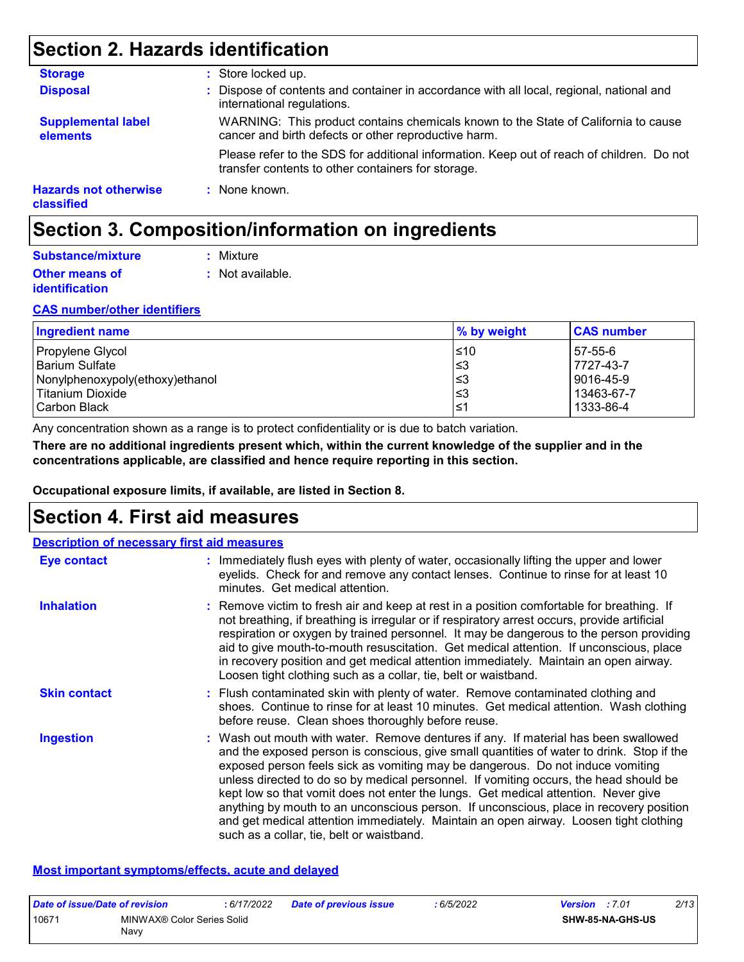## **Section 2. Hazards identification**

| <b>Storage</b>                             | : Store locked up.                                                                                                                              |
|--------------------------------------------|-------------------------------------------------------------------------------------------------------------------------------------------------|
| <b>Disposal</b>                            | : Dispose of contents and container in accordance with all local, regional, national and<br>international regulations.                          |
| <b>Supplemental label</b><br>elements      | WARNING: This product contains chemicals known to the State of California to cause<br>cancer and birth defects or other reproductive harm.      |
|                                            | Please refer to the SDS for additional information. Keep out of reach of children. Do not<br>transfer contents to other containers for storage. |
| <b>Hazards not otherwise</b><br>classified | : None known.                                                                                                                                   |

## **Section 3. Composition/information on ingredients**

| Substance/mixture     | : Mixture        |
|-----------------------|------------------|
| <b>Other means of</b> | : Not available. |
| <b>identification</b> |                  |

#### **CAS number/other identifiers**

| <b>Ingredient name</b>          | % by weight | <b>CAS number</b> |
|---------------------------------|-------------|-------------------|
| Propylene Glycol                | ≤10         | 57-55-6           |
| l Barium Sulfate                | '≤3         | 7727-43-7         |
| Nonylphenoxypoly(ethoxy)ethanol | l≤3         | 9016-45-9         |
| Titanium Dioxide                | l≤3         | 13463-67-7        |
| l Carbon Black                  | 1≤ ا        | 1333-86-4         |

Any concentration shown as a range is to protect confidentiality or is due to batch variation.

**There are no additional ingredients present which, within the current knowledge of the supplier and in the concentrations applicable, are classified and hence require reporting in this section.**

**Occupational exposure limits, if available, are listed in Section 8.**

### **Section 4. First aid measures**

|                     | <b>Description of necessary first aid measures</b>                                                                                                                                                                                                                                                                                                                                                                                                                                                                                                                                                                                                                                |
|---------------------|-----------------------------------------------------------------------------------------------------------------------------------------------------------------------------------------------------------------------------------------------------------------------------------------------------------------------------------------------------------------------------------------------------------------------------------------------------------------------------------------------------------------------------------------------------------------------------------------------------------------------------------------------------------------------------------|
| <b>Eye contact</b>  | : Immediately flush eyes with plenty of water, occasionally lifting the upper and lower<br>eyelids. Check for and remove any contact lenses. Continue to rinse for at least 10<br>minutes. Get medical attention.                                                                                                                                                                                                                                                                                                                                                                                                                                                                 |
| <b>Inhalation</b>   | : Remove victim to fresh air and keep at rest in a position comfortable for breathing. If<br>not breathing, if breathing is irregular or if respiratory arrest occurs, provide artificial<br>respiration or oxygen by trained personnel. It may be dangerous to the person providing<br>aid to give mouth-to-mouth resuscitation. Get medical attention. If unconscious, place<br>in recovery position and get medical attention immediately. Maintain an open airway.<br>Loosen tight clothing such as a collar, tie, belt or waistband.                                                                                                                                         |
| <b>Skin contact</b> | : Flush contaminated skin with plenty of water. Remove contaminated clothing and<br>shoes. Continue to rinse for at least 10 minutes. Get medical attention. Wash clothing<br>before reuse. Clean shoes thoroughly before reuse.                                                                                                                                                                                                                                                                                                                                                                                                                                                  |
| <b>Ingestion</b>    | : Wash out mouth with water. Remove dentures if any. If material has been swallowed<br>and the exposed person is conscious, give small quantities of water to drink. Stop if the<br>exposed person feels sick as vomiting may be dangerous. Do not induce vomiting<br>unless directed to do so by medical personnel. If vomiting occurs, the head should be<br>kept low so that vomit does not enter the lungs. Get medical attention. Never give<br>anything by mouth to an unconscious person. If unconscious, place in recovery position<br>and get medical attention immediately. Maintain an open airway. Loosen tight clothing<br>such as a collar, tie, belt or waistband. |

#### **Most important symptoms/effects, acute and delayed**

| Date of issue/Date of revision |                                    | : 6/17/2022 | <b>Date of previous issue</b> | 6/5/2022 | <b>Version</b> : 7.01 |                         | 2/13 |
|--------------------------------|------------------------------------|-------------|-------------------------------|----------|-----------------------|-------------------------|------|
| 10671                          | MINWAX® Color Series Solid<br>Navv |             |                               |          |                       | <b>SHW-85-NA-GHS-US</b> |      |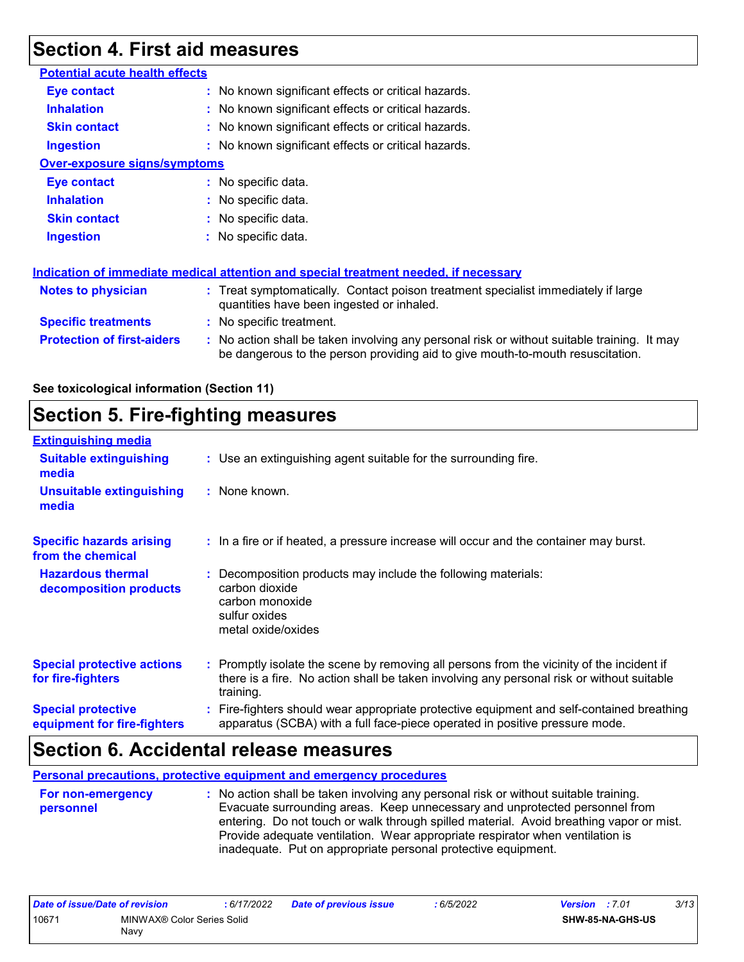## **Section 4. First aid measures**

| <b>Potential acute health effects</b> |                                                                                                                                                                               |  |
|---------------------------------------|-------------------------------------------------------------------------------------------------------------------------------------------------------------------------------|--|
| <b>Eye contact</b>                    | : No known significant effects or critical hazards.                                                                                                                           |  |
| <b>Inhalation</b>                     | : No known significant effects or critical hazards.                                                                                                                           |  |
| <b>Skin contact</b>                   | : No known significant effects or critical hazards.                                                                                                                           |  |
| <b>Ingestion</b>                      | : No known significant effects or critical hazards.                                                                                                                           |  |
| <b>Over-exposure signs/symptoms</b>   |                                                                                                                                                                               |  |
| Eye contact                           | : No specific data.                                                                                                                                                           |  |
| <b>Inhalation</b>                     | : No specific data.                                                                                                                                                           |  |
| <b>Skin contact</b>                   | $:$ No specific data.                                                                                                                                                         |  |
| <b>Ingestion</b>                      | : No specific data.                                                                                                                                                           |  |
|                                       |                                                                                                                                                                               |  |
|                                       | Indication of immediate medical attention and special treatment needed, if necessary                                                                                          |  |
| <b>Notes to physician</b>             | : Treat symptomatically. Contact poison treatment specialist immediately if large<br>quantities have been ingested or inhaled.                                                |  |
| <b>Specific treatments</b>            | : No specific treatment.                                                                                                                                                      |  |
| <b>Protection of first-aiders</b>     | : No action shall be taken involving any personal risk or without suitable training. It may<br>be dangerous to the person providing aid to give mouth-to-mouth resuscitation. |  |

#### **See toxicological information (Section 11)**

## **Section 5. Fire-fighting measures**

| <b>Extinguishing media</b>                               |                                                                                                                                                                                                     |
|----------------------------------------------------------|-----------------------------------------------------------------------------------------------------------------------------------------------------------------------------------------------------|
| <b>Suitable extinguishing</b><br>media                   | : Use an extinguishing agent suitable for the surrounding fire.                                                                                                                                     |
| <b>Unsuitable extinguishing</b><br>media                 | : None known.                                                                                                                                                                                       |
| <b>Specific hazards arising</b><br>from the chemical     | : In a fire or if heated, a pressure increase will occur and the container may burst.                                                                                                               |
| <b>Hazardous thermal</b><br>decomposition products       | Decomposition products may include the following materials:<br>carbon dioxide<br>carbon monoxide<br>sulfur oxides<br>metal oxide/oxides                                                             |
| <b>Special protective actions</b><br>for fire-fighters   | : Promptly isolate the scene by removing all persons from the vicinity of the incident if<br>there is a fire. No action shall be taken involving any personal risk or without suitable<br>training. |
| <b>Special protective</b><br>equipment for fire-fighters | Fire-fighters should wear appropriate protective equipment and self-contained breathing<br>apparatus (SCBA) with a full face-piece operated in positive pressure mode.                              |

### **Section 6. Accidental release measures**

**Personal precautions, protective equipment and emergency procedures**

| For non-emergency | : No action shall be taken involving any personal risk or without suitable training.    |
|-------------------|-----------------------------------------------------------------------------------------|
| personnel         | Evacuate surrounding areas. Keep unnecessary and unprotected personnel from             |
|                   | entering. Do not touch or walk through spilled material. Avoid breathing vapor or mist. |
|                   | Provide adequate ventilation. Wear appropriate respirator when ventilation is           |
|                   | inadequate. Put on appropriate personal protective equipment.                           |
|                   |                                                                                         |

| Date of issue/Date of revision |                            | 6/17/2022 | Date of previous issue | 6/5/2022 | Version | :7.01            | 3/13 |
|--------------------------------|----------------------------|-----------|------------------------|----------|---------|------------------|------|
| 10671                          | MINWAX® Color Series Solid |           |                        |          |         | SHW-85-NA-GHS-US |      |
|                                | Navy                       |           |                        |          |         |                  |      |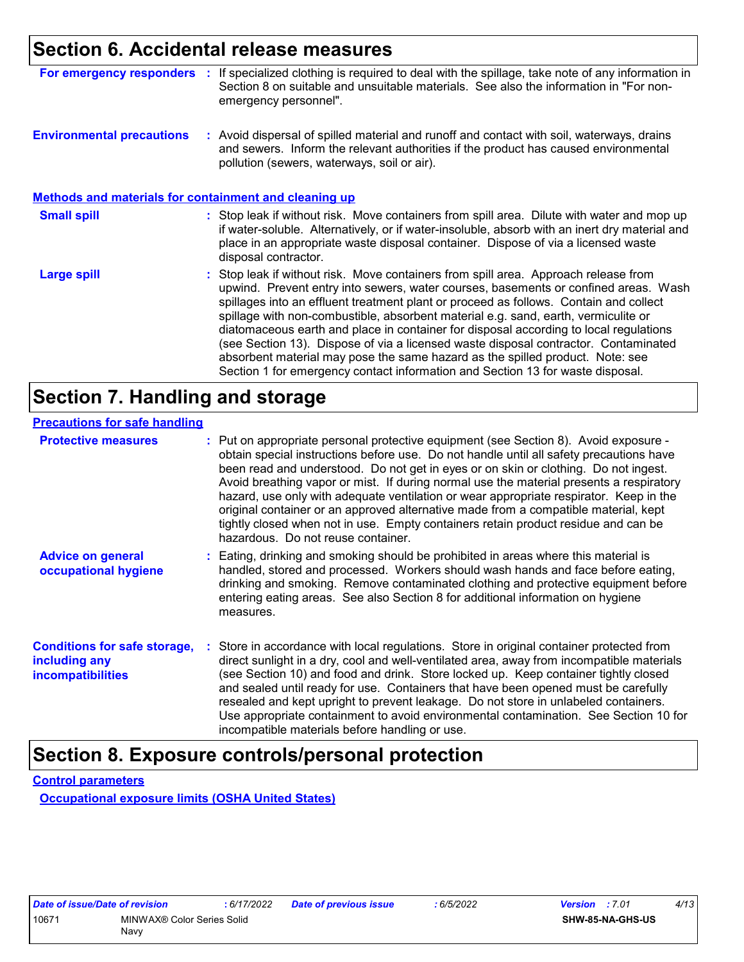### **Section 6. Accidental release measures**

| For emergency responders                                     | If specialized clothing is required to deal with the spillage, take note of any information in<br>Section 8 on suitable and unsuitable materials. See also the information in "For non-<br>emergency personnel".                                                                                                                                                                                                                                                                                                                                                                                                                                                                                             |
|--------------------------------------------------------------|--------------------------------------------------------------------------------------------------------------------------------------------------------------------------------------------------------------------------------------------------------------------------------------------------------------------------------------------------------------------------------------------------------------------------------------------------------------------------------------------------------------------------------------------------------------------------------------------------------------------------------------------------------------------------------------------------------------|
| <b>Environmental precautions</b>                             | : Avoid dispersal of spilled material and runoff and contact with soil, waterways, drains<br>and sewers. Inform the relevant authorities if the product has caused environmental<br>pollution (sewers, waterways, soil or air).                                                                                                                                                                                                                                                                                                                                                                                                                                                                              |
| <b>Methods and materials for containment and cleaning up</b> |                                                                                                                                                                                                                                                                                                                                                                                                                                                                                                                                                                                                                                                                                                              |
| <b>Small spill</b>                                           | : Stop leak if without risk. Move containers from spill area. Dilute with water and mop up<br>if water-soluble. Alternatively, or if water-insoluble, absorb with an inert dry material and<br>place in an appropriate waste disposal container. Dispose of via a licensed waste<br>disposal contractor.                                                                                                                                                                                                                                                                                                                                                                                                     |
| <b>Large spill</b>                                           | : Stop leak if without risk. Move containers from spill area. Approach release from<br>upwind. Prevent entry into sewers, water courses, basements or confined areas. Wash<br>spillages into an effluent treatment plant or proceed as follows. Contain and collect<br>spillage with non-combustible, absorbent material e.g. sand, earth, vermiculite or<br>diatomaceous earth and place in container for disposal according to local regulations<br>(see Section 13). Dispose of via a licensed waste disposal contractor. Contaminated<br>absorbent material may pose the same hazard as the spilled product. Note: see<br>Section 1 for emergency contact information and Section 13 for waste disposal. |

## **Section 7. Handling and storage**

| <b>Precautions for safe handling</b>                                             |                                                                                                                                                                                                                                                                                                                                                                                                                                                                                                                                                                                                                                                                                |
|----------------------------------------------------------------------------------|--------------------------------------------------------------------------------------------------------------------------------------------------------------------------------------------------------------------------------------------------------------------------------------------------------------------------------------------------------------------------------------------------------------------------------------------------------------------------------------------------------------------------------------------------------------------------------------------------------------------------------------------------------------------------------|
| <b>Protective measures</b>                                                       | : Put on appropriate personal protective equipment (see Section 8). Avoid exposure -<br>obtain special instructions before use. Do not handle until all safety precautions have<br>been read and understood. Do not get in eyes or on skin or clothing. Do not ingest.<br>Avoid breathing vapor or mist. If during normal use the material presents a respiratory<br>hazard, use only with adequate ventilation or wear appropriate respirator. Keep in the<br>original container or an approved alternative made from a compatible material, kept<br>tightly closed when not in use. Empty containers retain product residue and can be<br>hazardous. Do not reuse container. |
| <b>Advice on general</b><br>occupational hygiene                                 | : Eating, drinking and smoking should be prohibited in areas where this material is<br>handled, stored and processed. Workers should wash hands and face before eating,<br>drinking and smoking. Remove contaminated clothing and protective equipment before<br>entering eating areas. See also Section 8 for additional information on hygiene<br>measures.                                                                                                                                                                                                                                                                                                                  |
| <b>Conditions for safe storage,</b><br>including any<br><b>incompatibilities</b> | : Store in accordance with local regulations. Store in original container protected from<br>direct sunlight in a dry, cool and well-ventilated area, away from incompatible materials<br>(see Section 10) and food and drink. Store locked up. Keep container tightly closed<br>and sealed until ready for use. Containers that have been opened must be carefully<br>resealed and kept upright to prevent leakage. Do not store in unlabeled containers.<br>Use appropriate containment to avoid environmental contamination. See Section 10 for<br>incompatible materials before handling or use.                                                                            |

## **Section 8. Exposure controls/personal protection**

**Control parameters**

**Occupational exposure limits (OSHA United States)**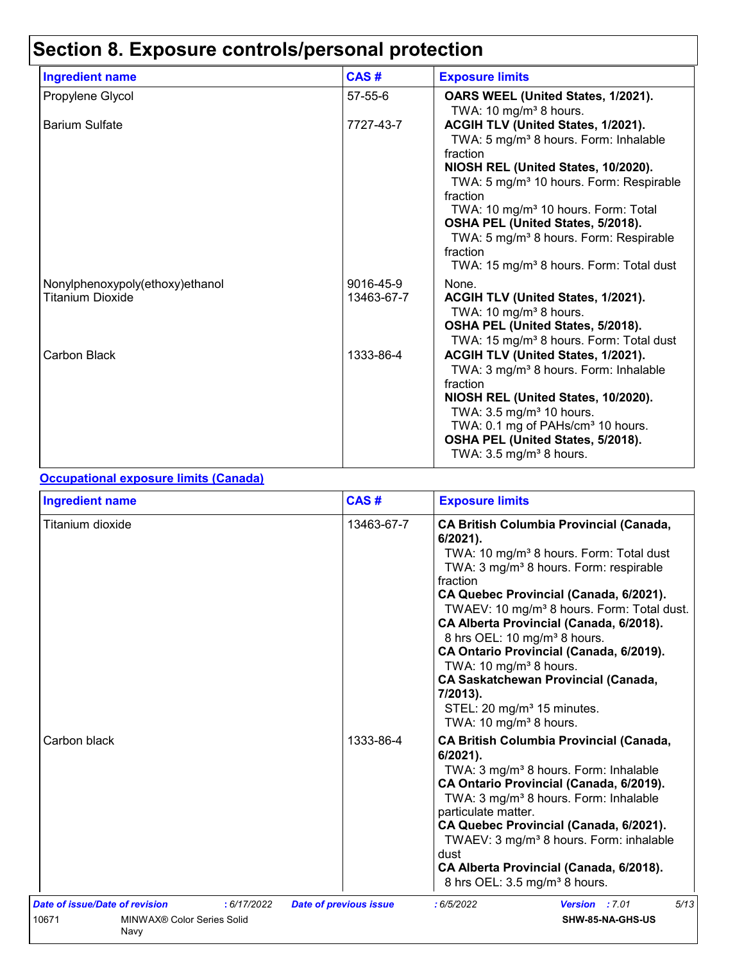# **Section 8. Exposure controls/personal protection**

| <b>Ingredient name</b>                              | CAS#                    | <b>Exposure limits</b>                                                                                                                                                                                                                                                                                                                                                                                                         |
|-----------------------------------------------------|-------------------------|--------------------------------------------------------------------------------------------------------------------------------------------------------------------------------------------------------------------------------------------------------------------------------------------------------------------------------------------------------------------------------------------------------------------------------|
| Propylene Glycol                                    | $57 - 55 - 6$           | OARS WEEL (United States, 1/2021).<br>TWA: 10 mg/m <sup>3</sup> 8 hours.                                                                                                                                                                                                                                                                                                                                                       |
| <b>Barium Sulfate</b>                               | 7727-43-7               | ACGIH TLV (United States, 1/2021).<br>TWA: 5 mg/m <sup>3</sup> 8 hours. Form: Inhalable<br>fraction<br>NIOSH REL (United States, 10/2020).<br>TWA: 5 mg/m <sup>3</sup> 10 hours. Form: Respirable<br>fraction<br>TWA: 10 mg/m <sup>3</sup> 10 hours. Form: Total<br>OSHA PEL (United States, 5/2018).<br>TWA: 5 mg/m <sup>3</sup> 8 hours. Form: Respirable<br>fraction<br>TWA: 15 mg/m <sup>3</sup> 8 hours. Form: Total dust |
| Nonylphenoxypoly(ethoxy)ethanol<br>Titanium Dioxide | 9016-45-9<br>13463-67-7 | None.<br>ACGIH TLV (United States, 1/2021).<br>TWA: 10 mg/m <sup>3</sup> 8 hours.<br>OSHA PEL (United States, 5/2018).<br>TWA: 15 mg/m <sup>3</sup> 8 hours. Form: Total dust                                                                                                                                                                                                                                                  |
| Carbon Black                                        | 1333-86-4               | ACGIH TLV (United States, 1/2021).<br>TWA: 3 mg/m <sup>3</sup> 8 hours. Form: Inhalable<br>fraction<br>NIOSH REL (United States, 10/2020).<br>TWA: 3.5 mg/m <sup>3</sup> 10 hours.<br>TWA: 0.1 mg of PAHs/cm <sup>3</sup> 10 hours.<br>OSHA PEL (United States, 5/2018).<br>TWA: $3.5 \text{ mg/m}^3$ 8 hours.                                                                                                                 |

#### **Occupational exposure limits (Canada)**

| <b>Ingredient name</b>                        | CAS#                          | <b>Exposure limits</b>                                                                                                                                                                                                                                                                                                                                                                                                                                                                                                                                                                                       |  |  |
|-----------------------------------------------|-------------------------------|--------------------------------------------------------------------------------------------------------------------------------------------------------------------------------------------------------------------------------------------------------------------------------------------------------------------------------------------------------------------------------------------------------------------------------------------------------------------------------------------------------------------------------------------------------------------------------------------------------------|--|--|
| Titanium dioxide                              | 13463-67-7                    | <b>CA British Columbia Provincial (Canada,</b><br>$6/2021$ ).<br>TWA: 10 mg/m <sup>3</sup> 8 hours. Form: Total dust<br>TWA: 3 mg/m <sup>3</sup> 8 hours. Form: respirable<br>fraction<br>CA Quebec Provincial (Canada, 6/2021).<br>TWAEV: 10 mg/m <sup>3</sup> 8 hours. Form: Total dust.<br>CA Alberta Provincial (Canada, 6/2018).<br>8 hrs OEL: 10 mg/m <sup>3</sup> 8 hours.<br>CA Ontario Provincial (Canada, 6/2019).<br>TWA: 10 mg/m <sup>3</sup> 8 hours.<br><b>CA Saskatchewan Provincial (Canada,</b><br>7/2013).<br>STEL: 20 mg/m <sup>3</sup> 15 minutes.<br>TWA: 10 mg/m <sup>3</sup> 8 hours. |  |  |
| Carbon black                                  | 1333-86-4                     | <b>CA British Columbia Provincial (Canada,</b><br>$6/2021$ ).<br>TWA: 3 mg/m <sup>3</sup> 8 hours. Form: Inhalable<br>CA Ontario Provincial (Canada, 6/2019).<br>TWA: 3 mg/m <sup>3</sup> 8 hours. Form: Inhalable<br>particulate matter.<br>CA Quebec Provincial (Canada, 6/2021).<br>TWAEV: 3 mg/m <sup>3</sup> 8 hours. Form: inhalable<br>dust<br>CA Alberta Provincial (Canada, 6/2018).<br>8 hrs OEL: 3.5 mg/m <sup>3</sup> 8 hours.                                                                                                                                                                   |  |  |
| Date of issue/Date of revision<br>: 6/17/2022 | <b>Date of previous issue</b> | 5/13<br>:6/5/2022<br>Version : 7.01                                                                                                                                                                                                                                                                                                                                                                                                                                                                                                                                                                          |  |  |
| 10671<br>MINWAX® Color Series Solid<br>Navy   |                               | SHW-85-NA-GHS-US                                                                                                                                                                                                                                                                                                                                                                                                                                                                                                                                                                                             |  |  |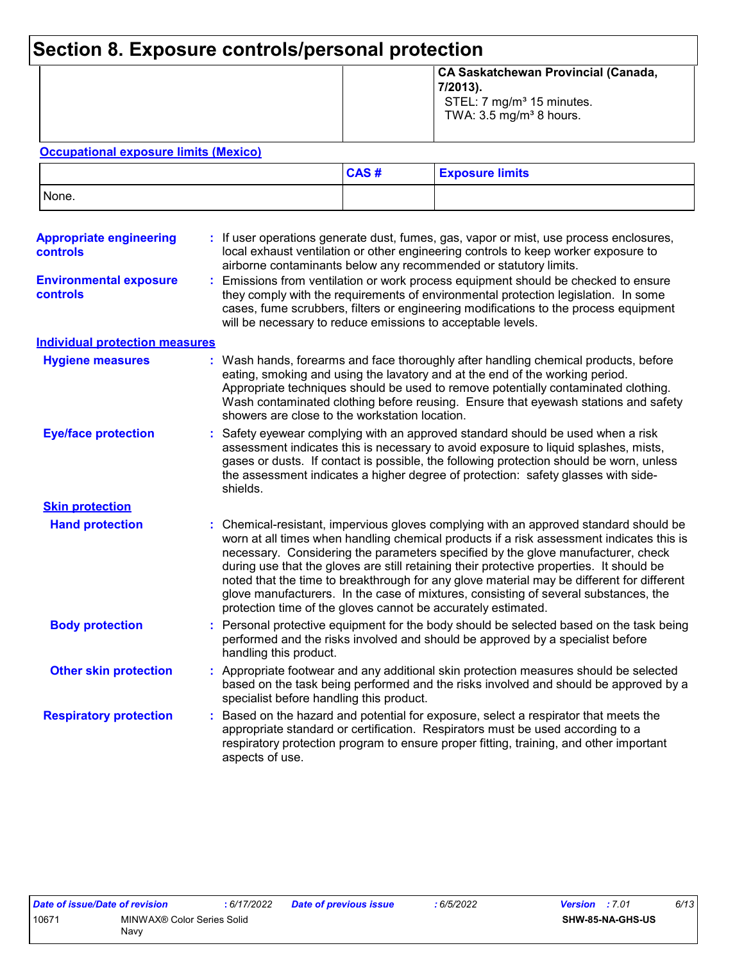## **Section 8. Exposure controls/personal protection**

|  | CA Saskatchewan Provincial (Canada,<br>$ 7/2013$ ).<br>STEL: 7 mg/m <sup>3</sup> 15 minutes.<br>TWA: $3.5 \text{ mg/m}^3$ 8 hours. |
|--|------------------------------------------------------------------------------------------------------------------------------------|
|--|------------------------------------------------------------------------------------------------------------------------------------|

#### **Occupational exposure limits (Mexico)**

|       | CAS# | <b>Exposure limits</b> |
|-------|------|------------------------|
| None. |      |                        |

| <b>Appropriate engineering</b><br>controls | : If user operations generate dust, fumes, gas, vapor or mist, use process enclosures,<br>local exhaust ventilation or other engineering controls to keep worker exposure to<br>airborne contaminants below any recommended or statutory limits.                                                                                                                                                                                                                                                                                                                                                                       |
|--------------------------------------------|------------------------------------------------------------------------------------------------------------------------------------------------------------------------------------------------------------------------------------------------------------------------------------------------------------------------------------------------------------------------------------------------------------------------------------------------------------------------------------------------------------------------------------------------------------------------------------------------------------------------|
| <b>Environmental exposure</b><br>controls  | Emissions from ventilation or work process equipment should be checked to ensure<br>they comply with the requirements of environmental protection legislation. In some<br>cases, fume scrubbers, filters or engineering modifications to the process equipment<br>will be necessary to reduce emissions to acceptable levels.                                                                                                                                                                                                                                                                                          |
| <b>Individual protection measures</b>      |                                                                                                                                                                                                                                                                                                                                                                                                                                                                                                                                                                                                                        |
| <b>Hygiene measures</b>                    | Wash hands, forearms and face thoroughly after handling chemical products, before<br>eating, smoking and using the lavatory and at the end of the working period.<br>Appropriate techniques should be used to remove potentially contaminated clothing.<br>Wash contaminated clothing before reusing. Ensure that eyewash stations and safety<br>showers are close to the workstation location.                                                                                                                                                                                                                        |
| <b>Eye/face protection</b>                 | Safety eyewear complying with an approved standard should be used when a risk<br>assessment indicates this is necessary to avoid exposure to liquid splashes, mists,<br>gases or dusts. If contact is possible, the following protection should be worn, unless<br>the assessment indicates a higher degree of protection: safety glasses with side-<br>shields.                                                                                                                                                                                                                                                       |
| <b>Skin protection</b>                     |                                                                                                                                                                                                                                                                                                                                                                                                                                                                                                                                                                                                                        |
| <b>Hand protection</b>                     | : Chemical-resistant, impervious gloves complying with an approved standard should be<br>worn at all times when handling chemical products if a risk assessment indicates this is<br>necessary. Considering the parameters specified by the glove manufacturer, check<br>during use that the gloves are still retaining their protective properties. It should be<br>noted that the time to breakthrough for any glove material may be different for different<br>glove manufacturers. In the case of mixtures, consisting of several substances, the<br>protection time of the gloves cannot be accurately estimated. |
| <b>Body protection</b>                     | Personal protective equipment for the body should be selected based on the task being<br>performed and the risks involved and should be approved by a specialist before<br>handling this product.                                                                                                                                                                                                                                                                                                                                                                                                                      |
| <b>Other skin protection</b>               | Appropriate footwear and any additional skin protection measures should be selected<br>based on the task being performed and the risks involved and should be approved by a<br>specialist before handling this product.                                                                                                                                                                                                                                                                                                                                                                                                |
| <b>Respiratory protection</b>              | Based on the hazard and potential for exposure, select a respirator that meets the<br>appropriate standard or certification. Respirators must be used according to a<br>respiratory protection program to ensure proper fitting, training, and other important<br>aspects of use.                                                                                                                                                                                                                                                                                                                                      |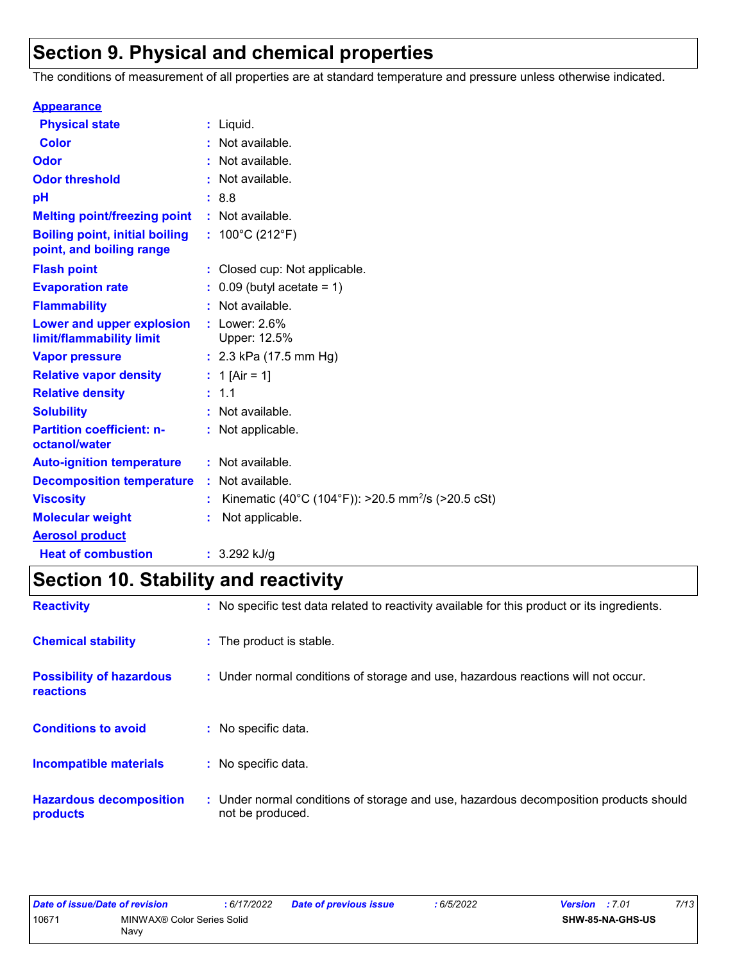## **Section 9. Physical and chemical properties**

The conditions of measurement of all properties are at standard temperature and pressure unless otherwise indicated.

| <b>Appearance</b>                                                 |                                                                |
|-------------------------------------------------------------------|----------------------------------------------------------------|
| <b>Physical state</b>                                             | $:$ Liquid.                                                    |
| <b>Color</b>                                                      | : Not available.                                               |
| Odor                                                              | : Not available.                                               |
| <b>Odor threshold</b>                                             | : Not available.                                               |
| рH                                                                | : 8.8                                                          |
| <b>Melting point/freezing point</b>                               | : Not available.                                               |
| <b>Boiling point, initial boiling</b><br>point, and boiling range | : $100^{\circ}$ C (212 $^{\circ}$ F)                           |
| <b>Flash point</b>                                                | : Closed cup: Not applicable.                                  |
| <b>Evaporation rate</b>                                           | $0.09$ (butyl acetate = 1)                                     |
| <b>Flammability</b>                                               | : Not available.                                               |
| Lower and upper explosion<br>limit/flammability limit             | $:$ Lower: 2.6%<br>Upper: 12.5%                                |
| <b>Vapor pressure</b>                                             | : $2.3$ kPa (17.5 mm Hg)                                       |
| <b>Relative vapor density</b>                                     | : 1 [Air = 1]                                                  |
| <b>Relative density</b>                                           | : 1.1                                                          |
| <b>Solubility</b>                                                 | : Not available.                                               |
| <b>Partition coefficient: n-</b><br>octanol/water                 | : Not applicable.                                              |
| <b>Auto-ignition temperature</b>                                  | : Not available.                                               |
| <b>Decomposition temperature</b>                                  | : Not available.                                               |
| <b>Viscosity</b>                                                  | Kinematic (40°C (104°F)): >20.5 mm <sup>2</sup> /s (>20.5 cSt) |
| <b>Molecular weight</b>                                           | Not applicable.                                                |
| <b>Aerosol product</b>                                            |                                                                |
| <b>Heat of combustion</b>                                         | : $3.292$ kJ/g                                                 |

## **Section 10. Stability and reactivity**

| <b>Reactivity</b>                            | : No specific test data related to reactivity available for this product or its ingredients.              |
|----------------------------------------------|-----------------------------------------------------------------------------------------------------------|
| <b>Chemical stability</b>                    | : The product is stable.                                                                                  |
| <b>Possibility of hazardous</b><br>reactions | : Under normal conditions of storage and use, hazardous reactions will not occur.                         |
| <b>Conditions to avoid</b>                   | : No specific data.                                                                                       |
| <b>Incompatible materials</b>                | : No specific data.                                                                                       |
| <b>Hazardous decomposition</b><br>products   | : Under normal conditions of storage and use, hazardous decomposition products should<br>not be produced. |

| Date of issue/Date of revision |                            | : 6/17/2022 | <b>Date of previous issue</b> | 6/5/2022 | <b>Version</b> : 7.01 |                         | 7/13 |
|--------------------------------|----------------------------|-------------|-------------------------------|----------|-----------------------|-------------------------|------|
| 10671                          | MINWAX® Color Series Solid |             |                               |          |                       | <b>SHW-85-NA-GHS-US</b> |      |
|                                | Navy                       |             |                               |          |                       |                         |      |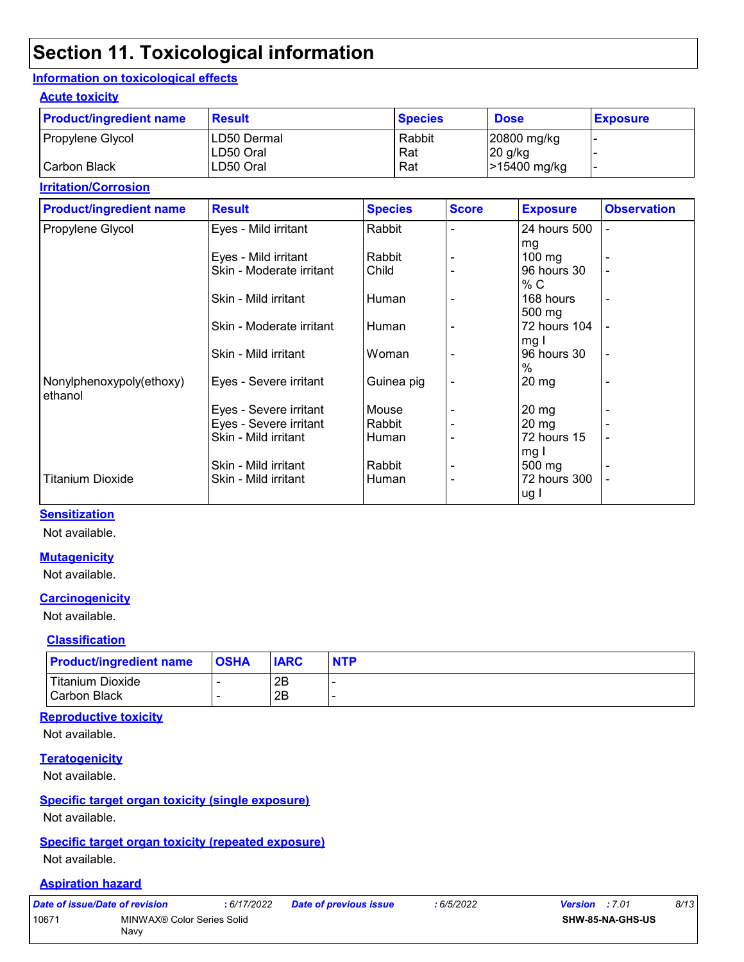## **Section 11. Toxicological information**

#### **Information on toxicological effects**

#### **Acute toxicity**

| <b>Product/ingredient name</b> | <b>Result</b>           | <b>Species</b> | <b>Dose</b>             | <b>Exposure</b> |
|--------------------------------|-------------------------|----------------|-------------------------|-----------------|
| Propylene Glycol               | ILD50 Dermal            | Rabbit         | 20800 mg/kg             |                 |
| Carbon Black                   | ILD50 Oral<br>LD50 Oral | Rat<br>Rat     | 20 g/kg<br>>15400 mg/kg | -               |

#### **Irritation/Corrosion**

| <b>Product/ingredient name</b>      | <b>Result</b>            | <b>Species</b> | <b>Score</b>   | <b>Exposure</b>               | <b>Observation</b>       |
|-------------------------------------|--------------------------|----------------|----------------|-------------------------------|--------------------------|
| Propylene Glycol                    | Eyes - Mild irritant     | Rabbit         |                | 24 hours 500                  | $\overline{\phantom{0}}$ |
|                                     |                          |                |                | mg                            |                          |
|                                     | Eyes - Mild irritant     | Rabbit         |                | $100$ mg                      |                          |
|                                     | Skin - Moderate irritant | Child          |                | 96 hours 30<br>% C            |                          |
|                                     | Skin - Mild irritant     | Human          |                | 168 hours<br>$500 \text{ mg}$ |                          |
|                                     | Skin - Moderate irritant | Human          |                | 72 hours 104<br>mg l          |                          |
|                                     | Skin - Mild irritant     | Woman          |                | 96 hours 30<br>$\%$           | ٠                        |
| Nonylphenoxypoly(ethoxy)<br>ethanol | Eyes - Severe irritant   | Guinea pig     | $\blacksquare$ | $20 \,\mathrm{mg}$            |                          |
|                                     | Eyes - Severe irritant   | Mouse          |                | $20 \, mg$                    |                          |
|                                     | Eyes - Severe irritant   | Rabbit         |                | $20 \, mg$                    |                          |
|                                     | Skin - Mild irritant     | Human          |                | 72 hours 15<br>mg I           |                          |
|                                     | Skin - Mild irritant     | Rabbit         |                | 500 mg                        |                          |
| <b>Titanium Dioxide</b>             | Skin - Mild irritant     | Human          |                | 72 hours 300<br>ug I          |                          |

#### **Sensitization**

Not available.

#### **Mutagenicity**

Not available.

#### **Carcinogenicity**

Not available.

#### **Classification**

| <b>Product/ingredient name</b>       | <b>OSHA</b> | <b>IARC</b> | <b>NTP</b> |
|--------------------------------------|-------------|-------------|------------|
| Titanium Dioxide<br>l Carbon Black i |             | 2B<br>2Β    |            |

#### **Reproductive toxicity**

Not available.

#### **Teratogenicity**

Not available.

#### **Specific target organ toxicity (single exposure)**

Not available.

#### **Specific target organ toxicity (repeated exposure)**

Not available.

#### **Aspiration hazard**

|       | Date of issue/Date of revision     | : 6/17/2022 | Date of previous issue | : 6/5/2022 | <b>Version</b> : 7.01   | 8/13 |
|-------|------------------------------------|-------------|------------------------|------------|-------------------------|------|
| 10671 | MINWAX® Color Series Solid<br>Navy |             |                        |            | <b>SHW-85-NA-GHS-US</b> |      |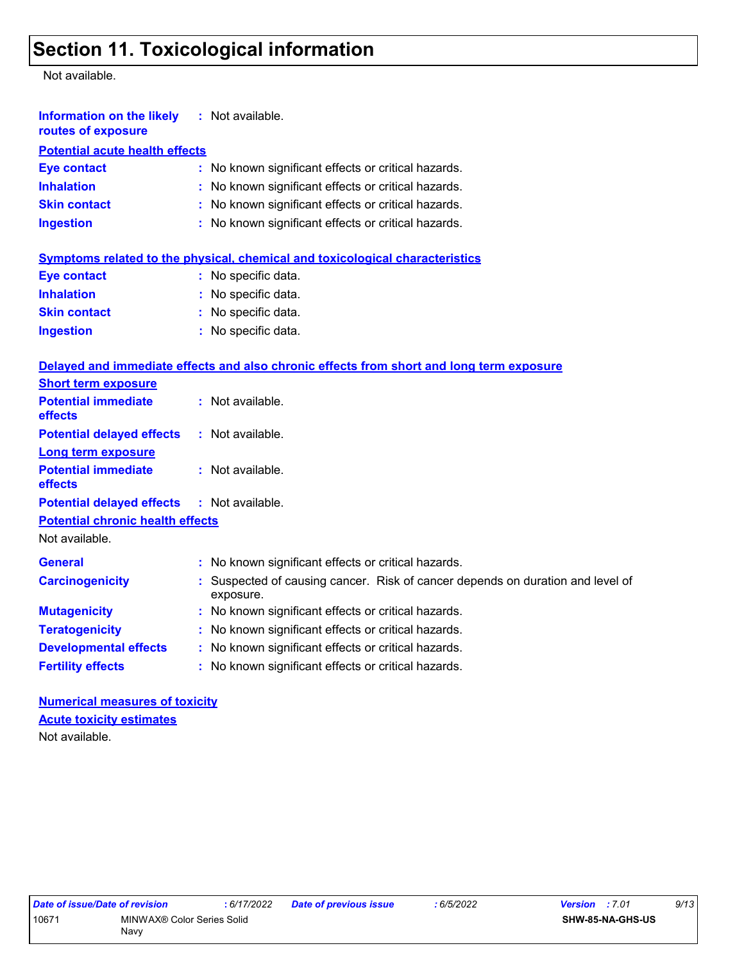## **Section 11. Toxicological information**

Not available.

| <b>Information on the likely</b> : Not available.<br>routes of exposure |                                                                                          |
|-------------------------------------------------------------------------|------------------------------------------------------------------------------------------|
| <b>Potential acute health effects</b>                                   |                                                                                          |
| <b>Eye contact</b>                                                      | : No known significant effects or critical hazards.                                      |
| <b>Inhalation</b>                                                       | : No known significant effects or critical hazards.                                      |
| <b>Skin contact</b>                                                     | : No known significant effects or critical hazards.                                      |
| <b>Ingestion</b>                                                        | : No known significant effects or critical hazards.                                      |
|                                                                         | Symptoms related to the physical, chemical and toxicological characteristics             |
| <b>Eye contact</b>                                                      | : No specific data.                                                                      |
| <b>Inhalation</b>                                                       | : No specific data.                                                                      |
| <b>Skin contact</b>                                                     | : No specific data.                                                                      |
| <b>Ingestion</b>                                                        | : No specific data.                                                                      |
|                                                                         | Delayed and immediate effects and also chronic effects from short and long term exposure |
| <b>Short term exposure</b>                                              |                                                                                          |
| <b>Potential immediate</b>                                              | : Not available.                                                                         |

| <u> 2000 - 2000 - 2000 - 2000 - 2000 - 2000 - 2000 - 2000 - 2000 - 2000 - 2000 - 2000 - 2000 - 2000 - 2000 - 200</u> |                                                                                             |
|----------------------------------------------------------------------------------------------------------------------|---------------------------------------------------------------------------------------------|
| <b>Potential immediate</b><br><b>effects</b>                                                                         | : Not available.                                                                            |
| <b>Potential delayed effects</b>                                                                                     | $:$ Not available.                                                                          |
| <b>Long term exposure</b>                                                                                            |                                                                                             |
| <b>Potential immediate</b><br><b>effects</b>                                                                         | $:$ Not available.                                                                          |
| <b>Potential delayed effects : Not available.</b>                                                                    |                                                                                             |
| <b>Potential chronic health effects</b>                                                                              |                                                                                             |
| Not available.                                                                                                       |                                                                                             |
| <b>General</b>                                                                                                       | : No known significant effects or critical hazards.                                         |
| <b>Carcinogenicity</b>                                                                                               | : Suspected of causing cancer. Risk of cancer depends on duration and level of<br>exposure. |
| <b>Mutagenicity</b>                                                                                                  | : No known significant effects or critical hazards.                                         |
| <b>Teratogenicity</b>                                                                                                | : No known significant effects or critical hazards.                                         |
| <b>Developmental effects</b>                                                                                         | : No known significant effects or critical hazards.                                         |
| <b>Fertility effects</b>                                                                                             | : No known significant effects or critical hazards.                                         |

**Numerical measures of toxicity** Not available. **Acute toxicity estimates**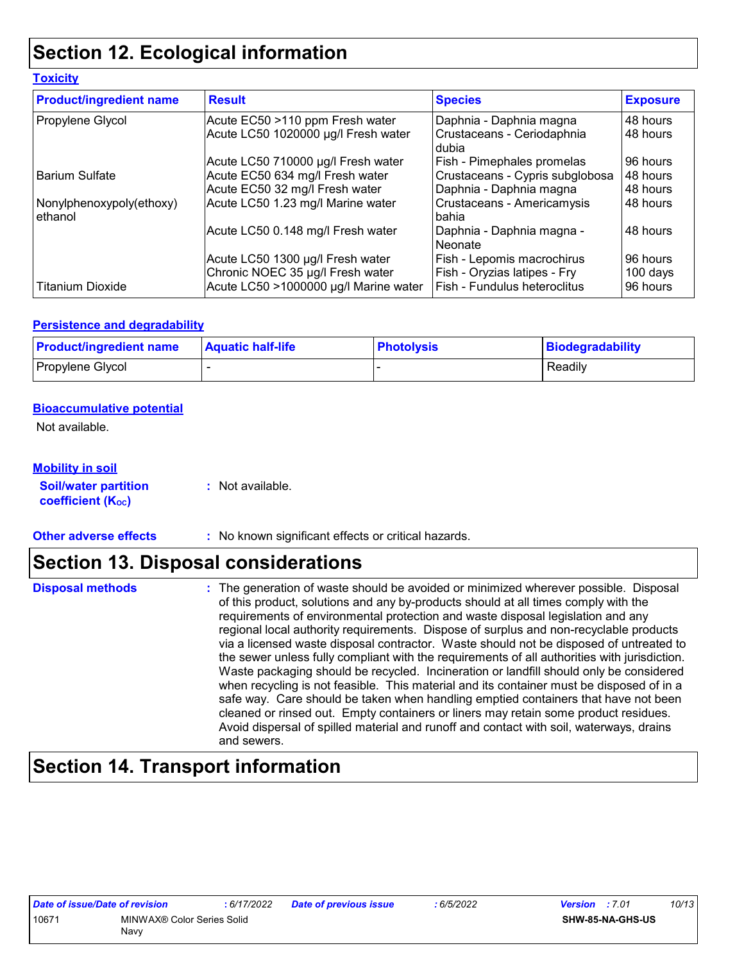## **Section 12. Ecological information**

| <b>Toxicity</b>                     |                                                                      |                                                            |                      |
|-------------------------------------|----------------------------------------------------------------------|------------------------------------------------------------|----------------------|
| <b>Product/ingredient name</b>      | <b>Result</b>                                                        | <b>Species</b>                                             | <b>Exposure</b>      |
| Propylene Glycol                    | Acute EC50 >110 ppm Fresh water                                      | Daphnia - Daphnia magna                                    | 48 hours             |
|                                     | Acute LC50 1020000 µg/l Fresh water                                  | Crustaceans - Ceriodaphnia<br>l dubia                      | 48 hours             |
|                                     | Acute LC50 710000 µg/l Fresh water                                   | Fish - Pimephales promelas                                 | 96 hours             |
| <b>Barium Sulfate</b>               | Acute EC50 634 mg/l Fresh water                                      | Crustaceans - Cypris subglobosa                            | 48 hours             |
|                                     | Acute EC50 32 mg/l Fresh water                                       | Daphnia - Daphnia magna                                    | 48 hours             |
| Nonylphenoxypoly(ethoxy)<br>ethanol | Acute LC50 1.23 mg/l Marine water                                    | Crustaceans - Americamysis<br><b>bahia</b>                 | 48 hours             |
|                                     | Acute LC50 0.148 mg/l Fresh water                                    | Daphnia - Daphnia magna -<br>Neonate                       | 48 hours             |
|                                     | Acute LC50 1300 µg/l Fresh water<br>Chronic NOEC 35 µg/l Fresh water | Fish - Lepomis macrochirus<br>Fish - Oryzias latipes - Fry | 96 hours<br>100 days |
| <b>Titanium Dioxide</b>             | Acute LC50 >1000000 µg/l Marine water                                | Fish - Fundulus heteroclitus                               | 96 hours             |

#### **Persistence and degradability**

| <b>Product/ingredient name</b> | <b>Aquatic half-life</b> | <b>Photolysis</b> | Biodegradability |
|--------------------------------|--------------------------|-------------------|------------------|
| Propylene Glycol               |                          |                   | Readily          |

#### **Bioaccumulative potential**

Not available.

#### **Mobility in soil**

**Soil/water partition coefficient (KOC) :** Not available.

**Other adverse effects** : No known significant effects or critical hazards.

## **Section 13. Disposal considerations**

| <b>Disposal methods</b> | : The generation of waste should be avoided or minimized wherever possible. Disposal<br>of this product, solutions and any by-products should at all times comply with the<br>requirements of environmental protection and waste disposal legislation and any<br>regional local authority requirements. Dispose of surplus and non-recyclable products<br>via a licensed waste disposal contractor. Waste should not be disposed of untreated to<br>the sewer unless fully compliant with the requirements of all authorities with jurisdiction.<br>Waste packaging should be recycled. Incineration or landfill should only be considered<br>when recycling is not feasible. This material and its container must be disposed of in a<br>safe way. Care should be taken when handling emptied containers that have not been<br>cleaned or rinsed out. Empty containers or liners may retain some product residues. |
|-------------------------|---------------------------------------------------------------------------------------------------------------------------------------------------------------------------------------------------------------------------------------------------------------------------------------------------------------------------------------------------------------------------------------------------------------------------------------------------------------------------------------------------------------------------------------------------------------------------------------------------------------------------------------------------------------------------------------------------------------------------------------------------------------------------------------------------------------------------------------------------------------------------------------------------------------------|
|                         | Avoid dispersal of spilled material and runoff and contact with soil, waterways, drains<br>and sewers.                                                                                                                                                                                                                                                                                                                                                                                                                                                                                                                                                                                                                                                                                                                                                                                                              |

## **Section 14. Transport information**

| Date of issue/Date of revision |                            | : 6/17/2022 | Date of previous issue | 6/5/2022 | <b>Version</b> : 7.01 |                  | 10/13 |
|--------------------------------|----------------------------|-------------|------------------------|----------|-----------------------|------------------|-------|
| 10671                          | MINWAX® Color Series Solid |             |                        |          |                       | SHW-85-NA-GHS-US |       |
|                                | Navv                       |             |                        |          |                       |                  |       |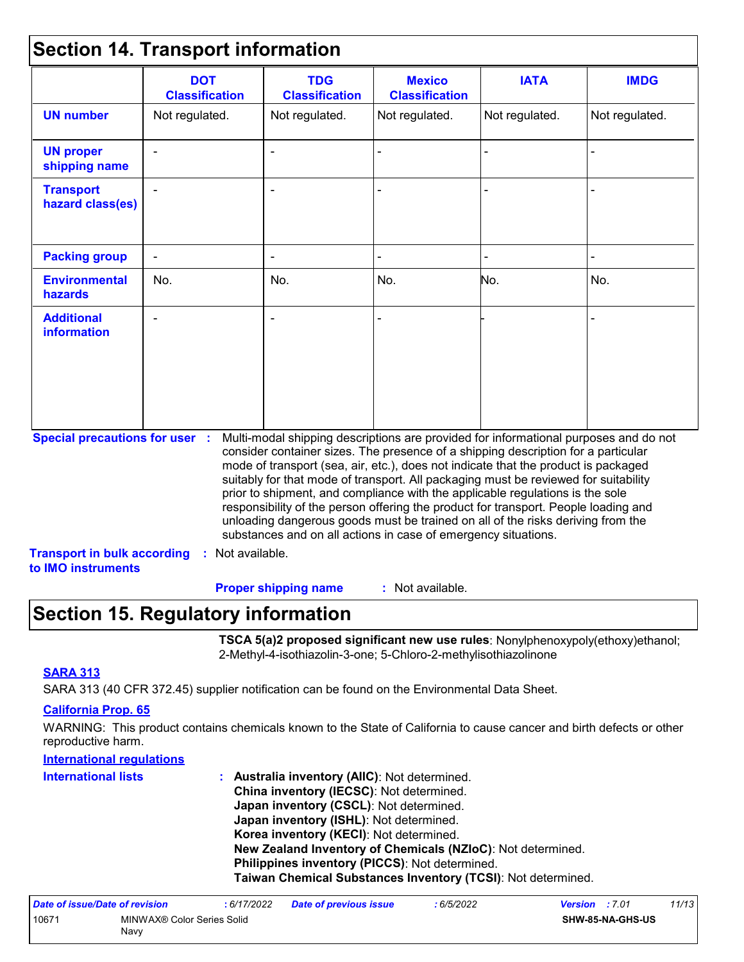### **Section 14. Transport information**

|                                         | <b>DOT</b><br><b>Classification</b> | <b>TDG</b><br><b>Classification</b>                            | <b>Mexico</b><br><b>Classification</b> | <b>IATA</b>                                                                                                                                                                                                                                                                                                                                                                                                                                                                                                                                                                                                       | <b>IMDG</b>    |
|-----------------------------------------|-------------------------------------|----------------------------------------------------------------|----------------------------------------|-------------------------------------------------------------------------------------------------------------------------------------------------------------------------------------------------------------------------------------------------------------------------------------------------------------------------------------------------------------------------------------------------------------------------------------------------------------------------------------------------------------------------------------------------------------------------------------------------------------------|----------------|
| <b>UN number</b>                        | Not regulated.                      | Not regulated.                                                 | Not regulated.                         | Not regulated.                                                                                                                                                                                                                                                                                                                                                                                                                                                                                                                                                                                                    | Not regulated. |
| <b>UN proper</b><br>shipping name       |                                     | $\sim$                                                         |                                        |                                                                                                                                                                                                                                                                                                                                                                                                                                                                                                                                                                                                                   |                |
| <b>Transport</b><br>hazard class(es)    |                                     |                                                                |                                        |                                                                                                                                                                                                                                                                                                                                                                                                                                                                                                                                                                                                                   |                |
| <b>Packing group</b>                    | $\blacksquare$                      |                                                                |                                        |                                                                                                                                                                                                                                                                                                                                                                                                                                                                                                                                                                                                                   |                |
| <b>Environmental</b><br>hazards         | No.                                 | No.                                                            | No.                                    | No.                                                                                                                                                                                                                                                                                                                                                                                                                                                                                                                                                                                                               | No.            |
| <b>Additional</b><br><b>information</b> |                                     | $\blacksquare$                                                 |                                        |                                                                                                                                                                                                                                                                                                                                                                                                                                                                                                                                                                                                                   |                |
| <b>Special precautions for user :</b>   |                                     | substances and on all actions in case of emergency situations. |                                        | Multi-modal shipping descriptions are provided for informational purposes and do not<br>consider container sizes. The presence of a shipping description for a particular<br>mode of transport (sea, air, etc.), does not indicate that the product is packaged<br>suitably for that mode of transport. All packaging must be reviewed for suitability<br>prior to shipment, and compliance with the applicable regulations is the sole<br>responsibility of the person offering the product for transport. People loading and<br>unloading dangerous goods must be trained on all of the risks deriving from the |                |

: Not available. **Proper shipping name :**

## **Section 15. Regulatory information**

**TSCA 5(a)2 proposed significant new use rules**: Nonylphenoxypoly(ethoxy)ethanol; 2-Methyl-4-isothiazolin-3-one; 5-Chloro-2-methylisothiazolinone

#### **SARA 313**

SARA 313 (40 CFR 372.45) supplier notification can be found on the Environmental Data Sheet.

#### **California Prop. 65**

WARNING: This product contains chemicals known to the State of California to cause cancer and birth defects or other reproductive harm.

#### **International regulations**

| <b>International lists</b> | : Australia inventory (AIIC): Not determined.                |
|----------------------------|--------------------------------------------------------------|
|                            | China inventory (IECSC): Not determined.                     |
|                            | Japan inventory (CSCL): Not determined.                      |
|                            | Japan inventory (ISHL): Not determined.                      |
|                            | Korea inventory (KECI): Not determined.                      |
|                            | New Zealand Inventory of Chemicals (NZIoC): Not determined.  |
|                            | Philippines inventory (PICCS): Not determined.               |
|                            | Taiwan Chemical Substances Inventory (TCSI): Not determined. |

| Date of issue/Date of revision |                                    | 6/17/2022 | <b>Date of previous issue</b> | : 6/5/2022 | <b>Version</b> : 7.01 |                         | 11/13 |
|--------------------------------|------------------------------------|-----------|-------------------------------|------------|-----------------------|-------------------------|-------|
| 1067'                          | MINWAX® Color Series Solid<br>Navv |           |                               |            |                       | <b>SHW-85-NA-GHS-US</b> |       |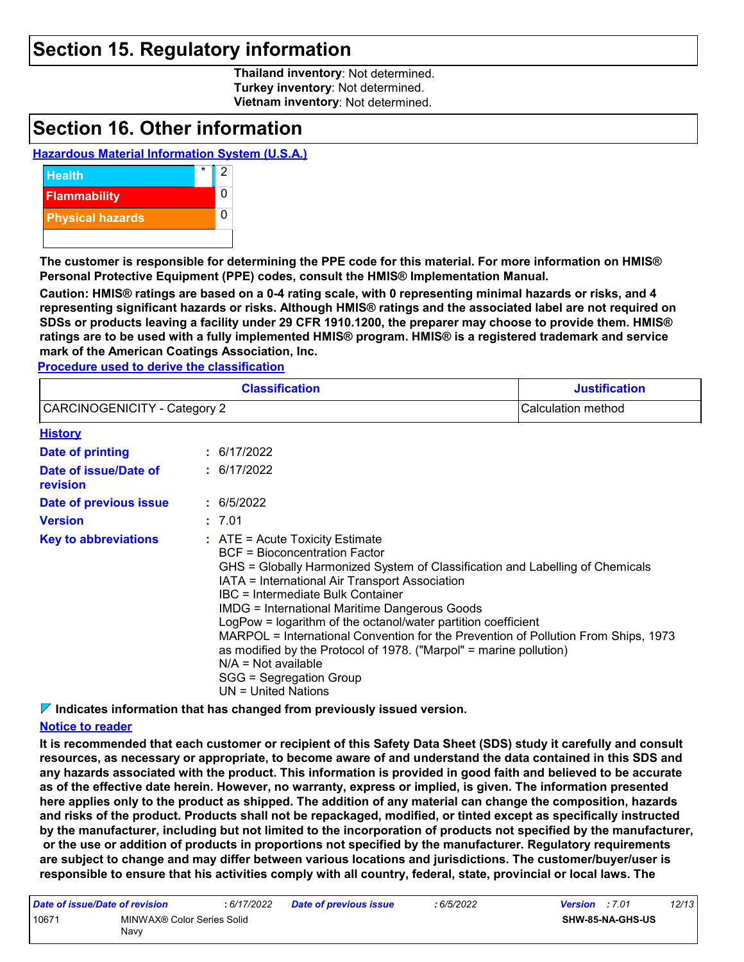### **Section 15. Regulatory information**

**Thailand inventory**: Not determined. **Turkey inventory**: Not determined. **Vietnam inventory**: Not determined.

### **Section 16. Other information**

#### **Hazardous Material Information System (U.S.A.)**



**The customer is responsible for determining the PPE code for this material. For more information on HMIS® Personal Protective Equipment (PPE) codes, consult the HMIS® Implementation Manual.**

**Caution: HMIS® ratings are based on a 0-4 rating scale, with 0 representing minimal hazards or risks, and 4 representing significant hazards or risks. Although HMIS® ratings and the associated label are not required on SDSs or products leaving a facility under 29 CFR 1910.1200, the preparer may choose to provide them. HMIS® ratings are to be used with a fully implemented HMIS® program. HMIS® is a registered trademark and service mark of the American Coatings Association, Inc.**

**Procedure used to derive the classification**

|                                     | <b>Classification</b>                                                                                                                                                                                                                                                                                                                                                                                                                                                                                                                                                                                           | <b>Justification</b> |
|-------------------------------------|-----------------------------------------------------------------------------------------------------------------------------------------------------------------------------------------------------------------------------------------------------------------------------------------------------------------------------------------------------------------------------------------------------------------------------------------------------------------------------------------------------------------------------------------------------------------------------------------------------------------|----------------------|
| <b>CARCINOGENICITY - Category 2</b> |                                                                                                                                                                                                                                                                                                                                                                                                                                                                                                                                                                                                                 | Calculation method   |
| <b>History</b>                      |                                                                                                                                                                                                                                                                                                                                                                                                                                                                                                                                                                                                                 |                      |
| Date of printing                    | : 6/17/2022                                                                                                                                                                                                                                                                                                                                                                                                                                                                                                                                                                                                     |                      |
| Date of issue/Date of<br>revision   | : 6/17/2022                                                                                                                                                                                                                                                                                                                                                                                                                                                                                                                                                                                                     |                      |
| Date of previous issue              | : 6/5/2022                                                                                                                                                                                                                                                                                                                                                                                                                                                                                                                                                                                                      |                      |
| <b>Version</b>                      | : 7.01                                                                                                                                                                                                                                                                                                                                                                                                                                                                                                                                                                                                          |                      |
| <b>Key to abbreviations</b>         | : ATE = Acute Toxicity Estimate<br><b>BCF</b> = Bioconcentration Factor<br>GHS = Globally Harmonized System of Classification and Labelling of Chemicals<br>IATA = International Air Transport Association<br>IBC = Intermediate Bulk Container<br><b>IMDG = International Maritime Dangerous Goods</b><br>LogPow = logarithm of the octanol/water partition coefficient<br>MARPOL = International Convention for the Prevention of Pollution From Ships, 1973<br>as modified by the Protocol of 1978. ("Marpol" = marine pollution)<br>$N/A = Not available$<br>SGG = Segregation Group<br>UN = United Nations |                      |

**Indicates information that has changed from previously issued version.**

#### **Notice to reader**

**It is recommended that each customer or recipient of this Safety Data Sheet (SDS) study it carefully and consult resources, as necessary or appropriate, to become aware of and understand the data contained in this SDS and any hazards associated with the product. This information is provided in good faith and believed to be accurate as of the effective date herein. However, no warranty, express or implied, is given. The information presented here applies only to the product as shipped. The addition of any material can change the composition, hazards and risks of the product. Products shall not be repackaged, modified, or tinted except as specifically instructed by the manufacturer, including but not limited to the incorporation of products not specified by the manufacturer, or the use or addition of products in proportions not specified by the manufacturer. Regulatory requirements are subject to change and may differ between various locations and jurisdictions. The customer/buyer/user is responsible to ensure that his activities comply with all country, federal, state, provincial or local laws. The** 

| Date of issue/Date of revision |                                    | : 6/17/2022 | Date of previous issue | : 6/5/2022 | <b>Version</b> : 7.01 |                         | 12/13 |
|--------------------------------|------------------------------------|-------------|------------------------|------------|-----------------------|-------------------------|-------|
| 10671                          | MINWAX® Color Series Solid<br>Navy |             |                        |            |                       | <b>SHW-85-NA-GHS-US</b> |       |